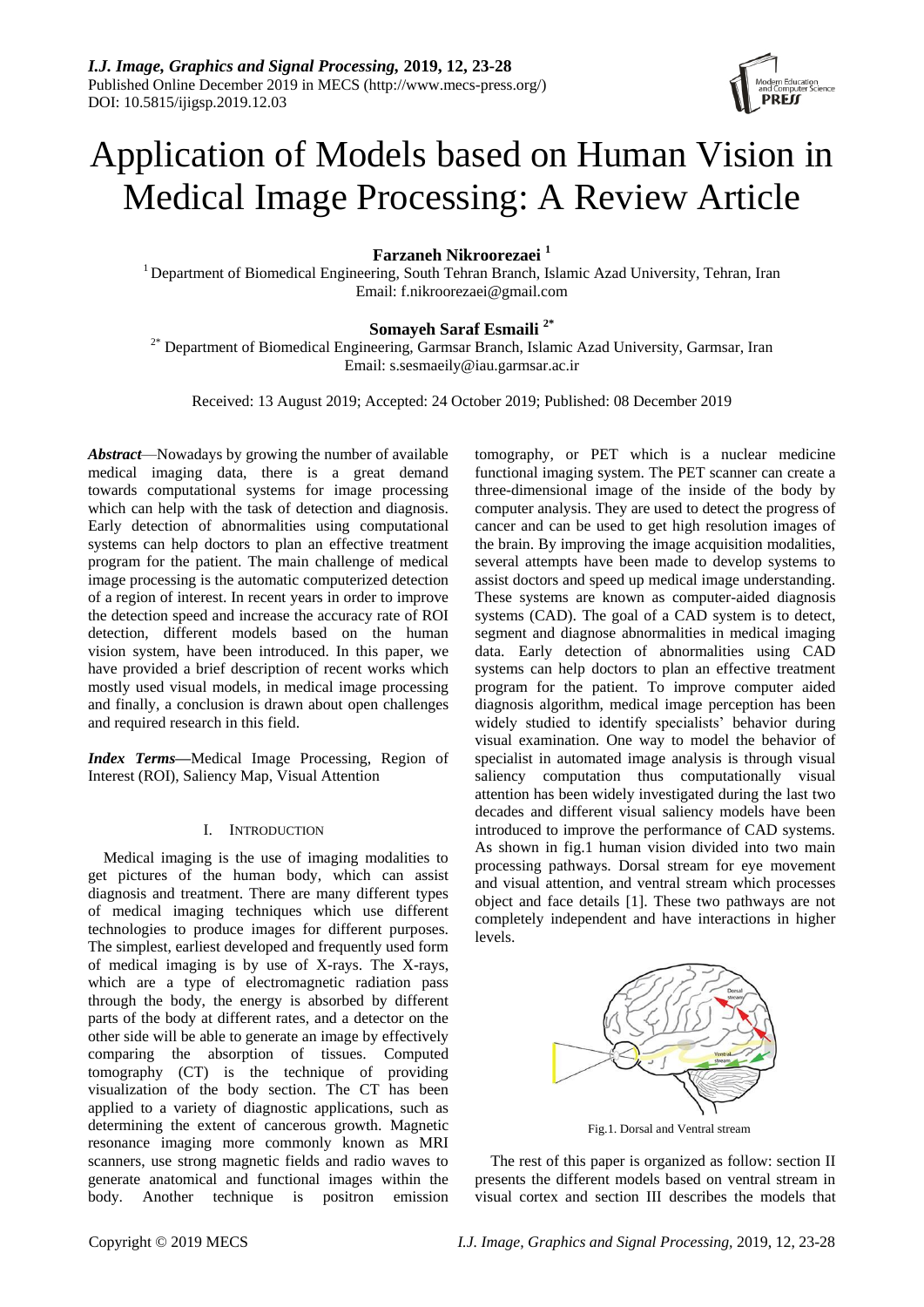

# Application of Models based on Human Vision in Medical Image Processing: A Review Article

**Farzaneh Nikroorezaei <sup>1</sup>**

<sup>1</sup> Department of Biomedical Engineering, South Tehran Branch, Islamic Azad University, Tehran, Iran Email: f.nikroorezaei@gmail.com

## **Somayeh Saraf Esmaili 2\***

 $2^*$  Department of Biomedical Engineering, Garmsar Branch, Islamic Azad University, Garmsar, Iran Email: s.sesmaeily@iau.garmsar.ac.ir

Received: 13 August 2019; Accepted: 24 October 2019; Published: 08 December 2019

*Abstract*—Nowadays by growing the number of available medical imaging data, there is a great demand towards computational systems for image processing which can help with the task of detection and diagnosis. Early detection of abnormalities using computational systems can help doctors to plan an effective treatment program for the patient. The main challenge of medical image processing is the automatic computerized detection of a region of interest. In recent years in order to improve the detection speed and increase the accuracy rate of ROI detection, different models based on the human vision system, have been introduced. In this paper, we have provided a brief description of recent works which mostly used visual models, in medical image processing and finally, a conclusion is drawn about open challenges and required research in this field.

*Index Terms—*Medical Image Processing, Region of Interest (ROI), Saliency Map, Visual Attention

## I. INTRODUCTION

Medical imaging is the use of imaging modalities to get pictures of the human body, which can assist diagnosis and treatment. There are many different types of medical imaging techniques which use different technologies to produce images for different purposes. The simplest, earliest developed and frequently used form of medical imaging is by use of X-rays. The X-rays, which are a type of electromagnetic radiation pass through the body, the energy is absorbed by different parts of the body at different rates, and a detector on the other side will be able to generate an image by effectively comparing the absorption of tissues. Computed tomography (CT) is the technique of providing visualization of the body section. The CT has been applied to a variety of diagnostic applications, such as determining the extent of cancerous growth. Magnetic resonance imaging more commonly known as MRI scanners, use strong magnetic fields and radio waves to generate anatomical and functional images within the body. Another technique is positron emission tomography, or PET which is a nuclear medicine functional imaging system. The PET scanner can create a three-dimensional image of the inside of the body by computer analysis. They are used to detect the progress of cancer and can be used to get high resolution images of the brain. By improving the image acquisition modalities, several attempts have been made to develop systems to assist doctors and speed up medical image understanding. These systems are known as computer-aided diagnosis systems (CAD). The goal of a CAD system is to detect, segment and diagnose abnormalities in medical imaging data. Early detection of abnormalities using CAD systems can help doctors to plan an effective treatment program for the patient. To improve computer aided diagnosis algorithm, medical image perception has been widely studied to identify specialists' behavior during visual examination. One way to model the behavior of specialist in automated image analysis is through visual saliency computation thus computationally visual attention has been widely investigated during the last two decades and different visual saliency models have been introduced to improve the performance of CAD systems. As shown in fig.1 human vision divided into two main processing pathways. Dorsal stream for eye movement and visual attention, and ventral stream which processes object and face details [1]. These two pathways are not completely independent and have interactions in higher levels.



The rest of this paper is organized as follow: section II presents the different models based on ventral stream in visual cortex and section III describes the models that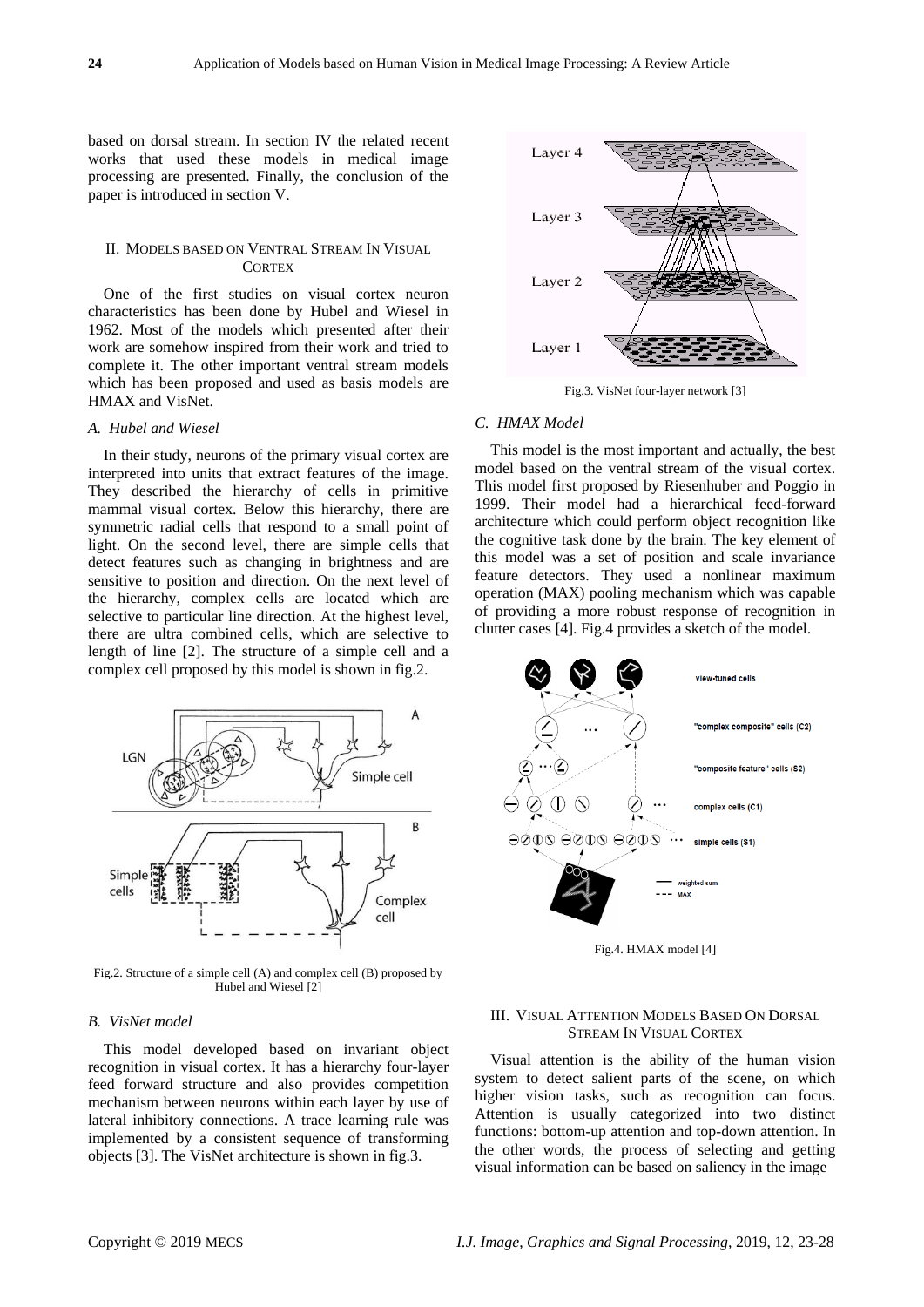based on dorsal stream. In section IV the related recent works that used these models in medical image processing are presented. Finally, the conclusion of the paper is introduced in section V.

## II. MODELS BASED ON VENTRAL STREAM IN VISUAL **CORTEX**

One of the first studies on visual cortex neuron characteristics has been done by Hubel and Wiesel in 1962. Most of the models which presented after their work are somehow inspired from their work and tried to complete it. The other important ventral stream models which has been proposed and used as basis models are HMAX and VisNet.

#### *A. Hubel and Wiesel*

In their study, neurons of the primary visual cortex are interpreted into units that extract features of the image. They described the hierarchy of cells in primitive mammal visual cortex. Below this hierarchy, there are symmetric radial cells that respond to a small point of light. On the second level, there are simple cells that detect features such as changing in brightness and are sensitive to position and direction. On the next level of the hierarchy, complex cells are located which are selective to particular line direction. At the highest level, there are ultra combined cells, which are selective to length of line [2]. The structure of a simple cell and a complex cell proposed by this model is shown in fig.2.



Fig.2. Structure of a simple cell (A) and complex cell (B) proposed by Hubel and Wiesel [2]

#### *B. VisNet model*

This model developed based on invariant object recognition in visual cortex. It has a hierarchy four-layer feed forward structure and also provides competition mechanism between neurons within each layer by use of lateral inhibitory connections. A trace learning rule was implemented by a consistent sequence of transforming objects [3]. The VisNet architecture is shown in fig.3.



Fig.3. VisNet four-layer network [3]

## *C. HMAX Model*

This model is the most important and actually, the best model based on the ventral stream of the visual cortex. This model first proposed by Riesenhuber and Poggio in 1999. Their model had a hierarchical feed-forward architecture which could perform object recognition like the cognitive task done by the brain. The key element of this model was a set of position and scale invariance feature detectors. They used a nonlinear maximum operation (MAX) pooling mechanism which was capable of providing a more robust response of recognition in clutter cases [4]. Fig.4 provides a sketch of the model.



Fig.4. HMAX model [4]

## III. VISUAL ATTENTION MODELS BASED ON DORSAL STREAM IN VISUAL CORTEX

Visual attention is the ability of the human vision system to detect salient parts of the scene, on which higher vision tasks, such as recognition can focus. Attention is usually categorized into two distinct functions: bottom-up attention and top-down attention. In the other words, the process of selecting and getting visual information can be based on saliency in the image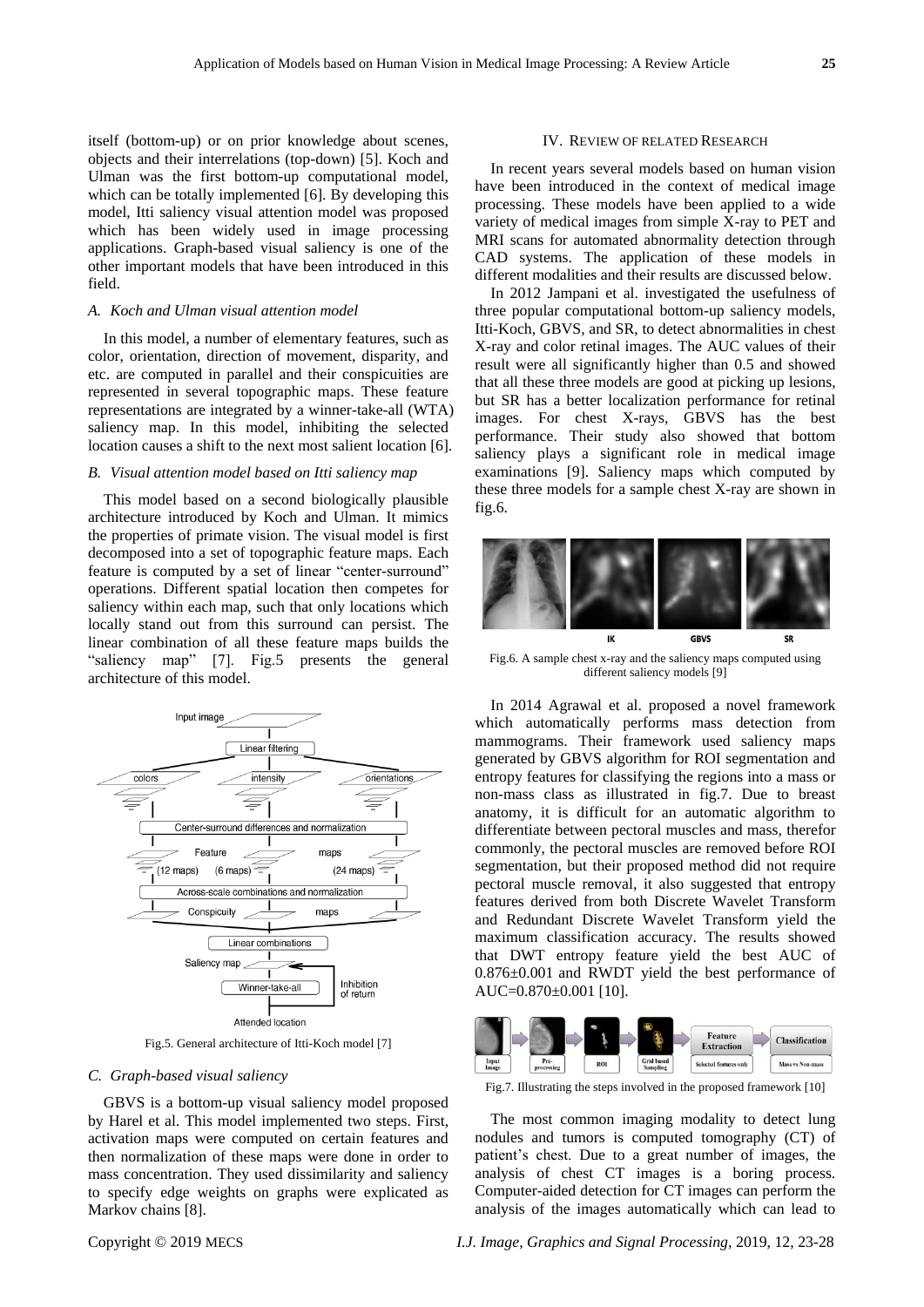itself (bottom-up) or on prior knowledge about scenes, objects and their interrelations (top-down) [5]. Koch and Ulman was the first bottom-up computational model, which can be totally implemented [6]. By developing this model, Itti saliency visual attention model was proposed which has been widely used in image processing applications. Graph-based visual saliency is one of the other important models that have been introduced in this field.

## *A. Koch and Ulman visual attention model*

In this model, a number of elementary features, such as color, orientation, direction of movement, disparity, and etc. are computed in parallel and their conspicuities are represented in several topographic maps. These feature representations are integrated by a winner-take-all (WTA) saliency map. In this model, inhibiting the selected location causes a shift to the next most salient location [6].

#### *B. Visual attention model based on Itti saliency map*

This model based on a second biologically plausible architecture introduced by Koch and Ulman. It mimics the properties of primate vision. The visual model is first decomposed into a set of topographic feature maps. Each feature is computed by a set of linear "center-surround" operations. Different spatial location then competes for saliency within each map, such that only locations which locally stand out from this surround can persist. The linear combination of all these feature maps builds the "saliency map" [7]. Fig.5 presents the general architecture of this model.



Fig.5. General architecture of Itti-Koch model [7]

#### *C. Graph-based visual saliency*

GBVS is a bottom-up visual saliency model proposed by Harel et al. This model implemented two steps. First, activation maps were computed on certain features and then normalization of these maps were done in order to mass concentration. They used dissimilarity and saliency to specify edge weights on graphs were explicated as Markov chains [8].

#### IV. REVIEW OF RELATED RESEARCH

In recent years several models based on human vision have been introduced in the context of medical image processing. These models have been applied to a wide variety of medical images from simple X-ray to PET and MRI scans for automated abnormality detection through CAD systems. The application of these models in different modalities and their results are discussed below.

In 2012 Jampani et al. investigated the usefulness of three popular computational bottom-up saliency models, Itti-Koch, GBVS, and SR, to detect abnormalities in chest X-ray and color retinal images. The AUC values of their result were all significantly higher than 0.5 and showed that all these three models are good at picking up lesions, but SR has a better localization performance for retinal images. For chest X-rays, GBVS has the best performance. Their study also showed that bottom saliency plays a significant role in medical image examinations [9]. Saliency maps which computed by these three models for a sample chest X-ray are shown in fig.6.



Fig.6. A sample chest x-ray and the saliency maps computed using different saliency models [9]

In 2014 Agrawal et al. proposed a novel framework which automatically performs mass detection from mammograms. Their framework used saliency maps generated by GBVS algorithm for ROI segmentation and entropy features for classifying the regions into a mass or non-mass class as illustrated in fig.7. Due to breast anatomy, it is difficult for an automatic algorithm to differentiate between pectoral muscles and mass, therefor commonly, the pectoral muscles are removed before ROI segmentation, but their proposed method did not require pectoral muscle removal, it also suggested that entropy features derived from both Discrete Wavelet Transform and Redundant Discrete Wavelet Transform yield the maximum classification accuracy. The results showed that DWT entropy feature yield the best AUC of 0.876±0.001 and RWDT yield the best performance of AUC=0.870±0.001 [10].



Fig.7. Illustrating the steps involved in the proposed framework [10]

The most common imaging modality to detect lung nodules and tumors is computed tomography (CT) of patient's chest. Due to a great number of images, the analysis of chest CT images is a boring process. Computer-aided detection for CT images can perform the analysis of the images automatically which can lead to

Copyright © 2019 MECS *I.J. Image, Graphics and Signal Processing,* 2019, 12, 23-28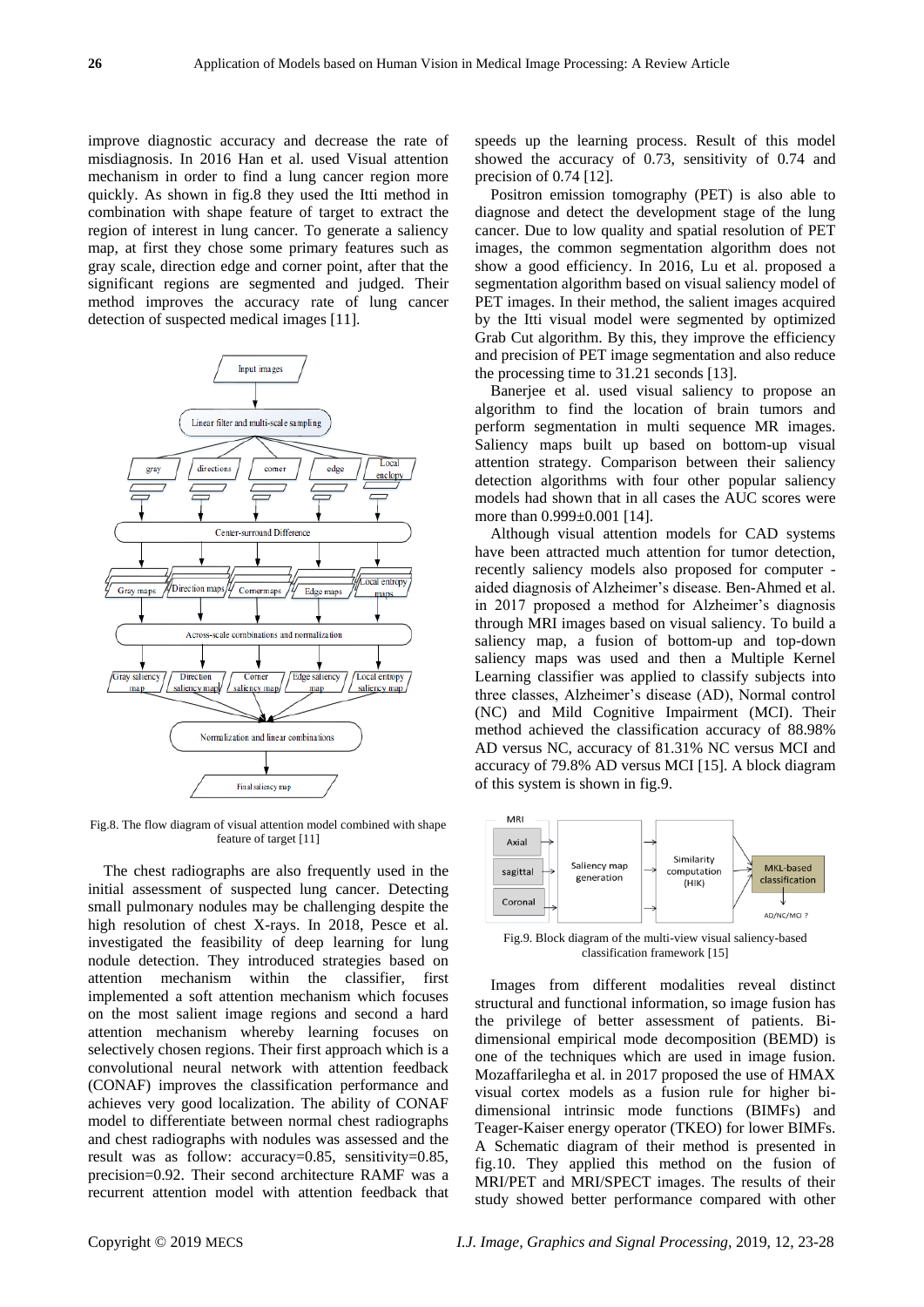improve diagnostic accuracy and decrease the rate of misdiagnosis. In 2016 Han et al. used Visual attention mechanism in order to find a lung cancer region more quickly. As shown in fig.8 they used the Itti method in combination with shape feature of target to extract the region of interest in lung cancer. To generate a saliency map, at first they chose some primary features such as gray scale, direction edge and corner point, after that the significant regions are segmented and judged. Their method improves the accuracy rate of lung cancer detection of suspected medical images [11].



Fig.8. The flow diagram of visual attention model combined with shape feature of target [11]

The chest radiographs are also frequently used in the initial assessment of suspected lung cancer. Detecting small pulmonary nodules may be challenging despite the high resolution of chest X-rays. In 2018, Pesce et al. investigated the feasibility of deep learning for lung nodule detection. They introduced strategies based on attention mechanism within the classifier, first implemented a soft attention mechanism which focuses on the most salient image regions and second a hard attention mechanism whereby learning focuses on selectively chosen regions. Their first approach which is a convolutional neural network with attention feedback (CONAF) improves the classification performance and achieves very good localization. The ability of CONAF model to differentiate between normal chest radiographs and chest radiographs with nodules was assessed and the result was as follow: accuracy=0.85, sensitivity=0.85, precision=0.92. Their second architecture RAMF was a recurrent attention model with attention feedback that

speeds up the learning process. Result of this model showed the accuracy of 0.73, sensitivity of 0.74 and precision of 0.74 [12].

Positron emission tomography (PET) is also able to diagnose and detect the development stage of the lung cancer. Due to low quality and spatial resolution of PET images, the common segmentation algorithm does not show a good efficiency. In 2016, Lu et al. proposed a segmentation algorithm based on visual saliency model of PET images. In their method, the salient images acquired by the Itti visual model were segmented by optimized Grab Cut algorithm. By this, they improve the efficiency and precision of PET image segmentation and also reduce the processing time to 31.21 seconds [13].

Banerjee et al. used visual saliency to propose an algorithm to find the location of brain tumors and perform segmentation in multi sequence MR images. Saliency maps built up based on bottom-up visual attention strategy. Comparison between their saliency detection algorithms with four other popular saliency models had shown that in all cases the AUC scores were more than  $0.999 \pm 0.001$  [14].

Although visual attention models for CAD systems have been attracted much attention for tumor detection, recently saliency models also proposed for computer aided diagnosis of Alzheimer's disease. Ben-Ahmed et al. in 2017 proposed a method for Alzheimer's diagnosis through MRI images based on visual saliency. To build a saliency map, a fusion of bottom-up and top-down saliency maps was used and then a Multiple Kernel Learning classifier was applied to classify subjects into three classes, Alzheimer's disease (AD), Normal control (NC) and Mild Cognitive Impairment (MCI). Their method achieved the classification accuracy of 88.98% AD versus NC, accuracy of 81.31% NC versus MCI and accuracy of 79.8% AD versus MCI [15]. A block diagram of this system is shown in fig.9.



Fig.9. Block diagram of the multi-view visual saliency-based classification framework [15]

Images from different modalities reveal distinct structural and functional information, so image fusion has the privilege of better assessment of patients. Bidimensional empirical mode decomposition (BEMD) is one of the techniques which are used in image fusion. Mozaffarilegha et al. in 2017 proposed the use of HMAX visual cortex models as a fusion rule for higher bidimensional intrinsic mode functions (BIMFs) and Teager-Kaiser energy operator (TKEO) for lower BIMFs. A Schematic diagram of their method is presented in fig.10. They applied this method on the fusion of MRI/PET and MRI/SPECT images. The results of their study showed better performance compared with other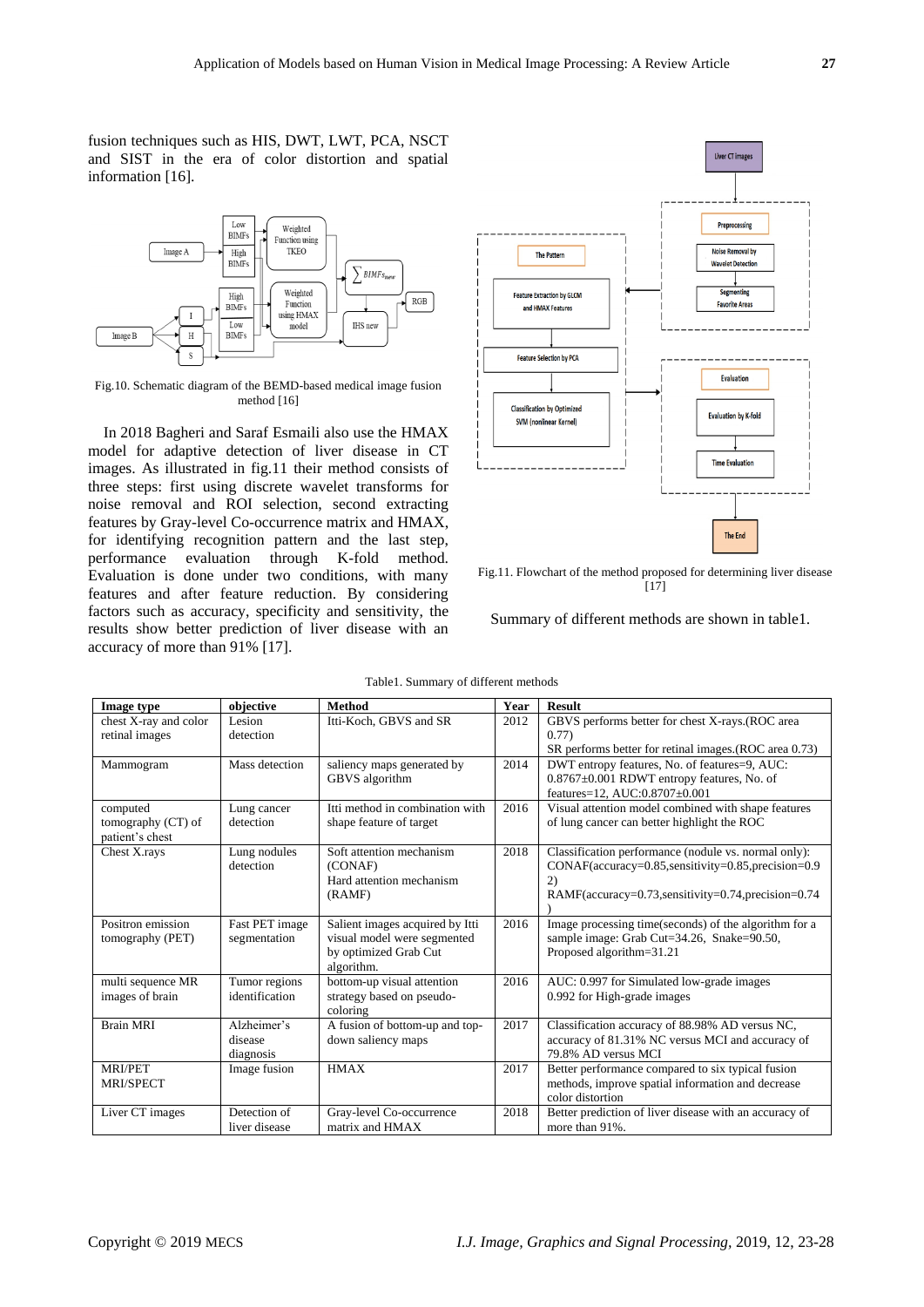fusion techniques such as HIS, DWT, LWT, PCA, NSCT and SIST in the era of color distortion and spatial information [16].



Fig.10. Schematic diagram of the BEMD-based medical image fusion method [16]

In 2018 Bagheri and Saraf Esmaili also use the HMAX model for adaptive detection of liver disease in CT images. As illustrated in fig.11 their method consists of three steps: first using discrete wavelet transforms for noise removal and ROI selection, second extracting features by Gray-level Co-occurrence matrix and HMAX, for identifying recognition pattern and the last step, performance evaluation through K-fold method. Evaluation is done under two conditions, with many features and after feature reduction. By considering factors such as accuracy, specificity and sensitivity, the results show better prediction of liver disease with an accuracy of more than 91% [17].



Fig.11. Flowchart of the method proposed for determining liver disease  $[17]$ 

Summary of different methods are shown in table1.

| <b>Image type</b>     | objective      | <b>Method</b>                   | Year | <b>Result</b>                                          |
|-----------------------|----------------|---------------------------------|------|--------------------------------------------------------|
| chest X-ray and color | Lesion         | Itti-Koch, GBVS and SR          | 2012 | GBVS performs better for chest X-rays.(ROC area        |
| retinal images        | detection      |                                 |      | (0.77)                                                 |
|                       |                |                                 |      | SR performs better for retinal images. (ROC area 0.73) |
| Mammogram             | Mass detection | saliency maps generated by      | 2014 | DWT entropy features, No. of features=9, AUC:          |
|                       |                | GBVS algorithm                  |      | $0.8767 \pm 0.001$ RDWT entropy features, No. of       |
|                       |                |                                 |      | features=12, AUC:0.8707±0.001                          |
| computed              | Lung cancer    | Itti method in combination with | 2016 | Visual attention model combined with shape features    |
| tomography $(CT)$ of  | detection      | shape feature of target         |      | of lung cancer can better highlight the ROC            |
| patient's chest       |                |                                 |      |                                                        |
| Chest X.rays          | Lung nodules   | Soft attention mechanism        | 2018 | Classification performance (nodule vs. normal only):   |
|                       | detection      | (CONAF)                         |      | CONAF(accuracy=0.85,sensitivity=0.85,precision=0.9     |
|                       |                | Hard attention mechanism        |      | 2)                                                     |
|                       |                | (RAMF)                          |      | RAMF(accuracy=0.73, sensitivity=0.74, precision=0.74   |
|                       |                |                                 |      |                                                        |
| Positron emission     | Fast PET image | Salient images acquired by Itti | 2016 | Image processing time(seconds) of the algorithm for a  |
| tomography (PET)      | segmentation   | visual model were segmented     |      | sample image: Grab Cut=34.26, Snake=90.50,             |
|                       |                | by optimized Grab Cut           |      | Proposed algorithm=31.21                               |
|                       |                | algorithm.                      |      |                                                        |
| multi sequence MR     | Tumor regions  | bottom-up visual attention      | 2016 | AUC: 0.997 for Simulated low-grade images              |
| images of brain       | identification | strategy based on pseudo-       |      | 0.992 for High-grade images                            |
|                       |                | coloring                        |      |                                                        |
| <b>Brain MRI</b>      | Alzheimer's    | A fusion of bottom-up and top-  | 2017 | Classification accuracy of 88.98% AD versus NC,        |
|                       | disease        | down saliency maps              |      | accuracy of 81.31% NC versus MCI and accuracy of       |
|                       | diagnosis      |                                 |      | 79.8% AD versus MCI                                    |
| <b>MRI/PET</b>        | Image fusion   | <b>HMAX</b>                     | 2017 | Better performance compared to six typical fusion      |
| <b>MRI/SPECT</b>      |                |                                 |      | methods, improve spatial information and decrease      |
|                       |                |                                 |      | color distortion                                       |
| Liver CT images       | Detection of   | Gray-level Co-occurrence        | 2018 | Better prediction of liver disease with an accuracy of |
|                       | liver disease  | matrix and HMAX                 |      | more than 91%.                                         |

Table1. Summary of different methods